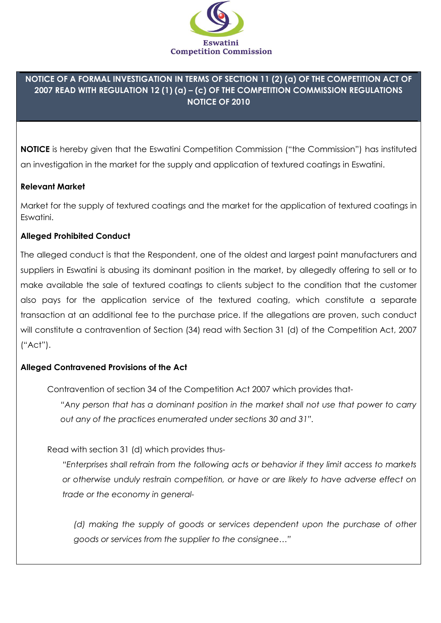

**NOTICE OF A FORMAL INVESTIGATION IN TERMS OF SECTION 11 (2) (a) OF THE COMPETITION ACT OF 2007 READ WITH REGULATION 12 (1) (a) – (c) OF THE COMPETITION COMMISSION REGULATIONS NOTICE OF 2010**

**NOTICE** is hereby given that the Eswatini Competition Commission ("the Commission") has instituted an investigation in the market for the supply and application of textured coatings in Eswatini.

## **Relevant Market**

Market for the supply of textured coatings and the market for the application of textured coatings in Eswatini.

## **Alleged Prohibited Conduct**

The alleged conduct is that the Respondent, one of the oldest and largest paint manufacturers and suppliers in Eswatini is abusing its dominant position in the market, by allegedly offering to sell or to make available the sale of textured coatings to clients subject to the condition that the customer also pays for the application service of the textured coating, which constitute a separate transaction at an additional fee to the purchase price. If the allegations are proven, such conduct will constitute a contravention of Section (34) read with Section 31 (d) of the Competition Act, 2007 ("Act").

## **Alleged Contravened Provisions of the Act**

Contravention of section 34 of the Competition Act 2007 which provides that-

*"Any person that has a dominant position in the market shall not use that power to carry out any of the practices enumerated under sections 30 and 31".*

Read with section 31 (d) which provides thus-

*"Enterprises shall refrain from the following acts or behavior if they limit access to markets or otherwise unduly restrain competition, or have or are likely to have adverse effect on trade or the economy in general-*

*(d) making the supply of goods or services dependent upon the purchase of other goods or services from the supplier to the consignee…"*